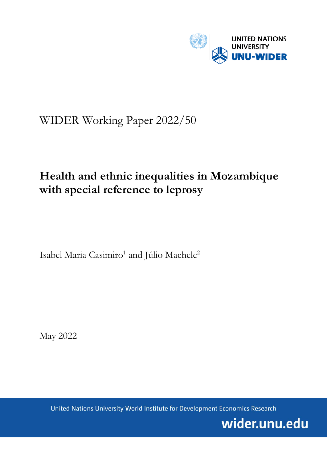

## WIDER Working Paper 2022/50

# **Health and ethnic inequalities in Mozambique with special reference to leprosy**

Isabel Maria Casimiro<sup>1</sup> and Júlio Machele<sup>2</sup>

May 2022

United Nations University World Institute for Development Economics Research

wider.unu.edu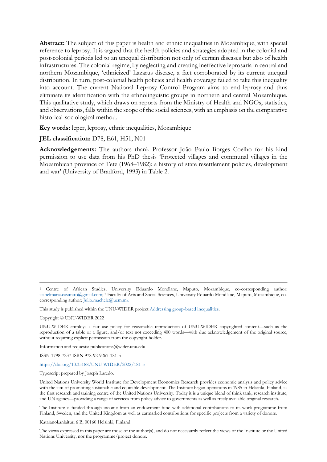**Abstract:** The subject of this paper is health and ethnic inequalities in Mozambique, with special reference to leprosy. It is argued that the health policies and strategies adopted in the colonial and post-colonial periods led to an unequal distribution not only of certain diseases but also of health infrastructures. The colonial regime, by neglecting and creating ineffective leprosaria in central and northern Mozambique, 'ethnicized' Lazarus disease, a fact corroborated by its current unequal distribution. In turn, post-colonial health policies and health coverage failed to take this inequality into account. The current National Leprosy Control Program aims to end leprosy and thus eliminate its identification with the ethnolinguistic groups in northern and central Mozambique. This qualitative study, which draws on reports from the Ministry of Health and NGOs, statistics, and observations, falls within the scope of the social sciences, with an emphasis on the comparative historical-sociological method.

**Key words:** leper, leprosy, ethnic inequalities, Mozambique

**JEL classification:** D78, E61, H51, N01

**Acknowledgements:** The authors thank Professor João Paulo Borges Coelho for his kind permission to use data from his PhD thesis 'Protected villages and communal villages in the Mozambican province of Tete (1968–1982): a history of state resettlement policies, development and war' (University of Bradford, 1993) in Table 2.

Copyright © UNU-WIDER 2022

Information and requests: publications@wider.unu.edu

ISSN 1798-7237 ISBN 978-92-9267-181-5

#### <https://doi.org/10.35188/UNU-WIDER/2022/181-5>

Typescript prepared by Joseph Laredo.

The Institute is funded through income from an endowment fund with additional contributions to its work programme from Finland, Sweden, and the United Kingdom as well as earmarked contributions for specific projects from a variety of donors.

Katajanokanlaituri 6 B, 00160 Helsinki, Finland

The views expressed in this paper are those of the author(s), and do not necessarily reflect the views of the Institute or the United Nations University, nor the programme/project donors.

<sup>1</sup> Centre of African Studies, University Eduardo Mondlane, Maputo, Mozambique, co-corresponding author: [isabelmaria.casimiro@gmail.com;](https://d.docs.live.net/814a187baa1337e0/Documents/CURRENT/UNU-WIDER/Casimiro%20and%20Machele/isabelmaria.casimiro@gmail.com) 2 Faculty of Arts and Social Sciences, University Eduardo Mondlane, Maputo, Mozambique, co-corresponding author[: Julio.machele@uem.mz](mailto:Julio.machele@uem.mz)

This study is published within the UNU-WIDER project [Addressing group-based inequalities.](https://www.wider.unu.edu/node/237111)

UNU-WIDER employs a fair use policy for reasonable reproduction of UNU-WIDER copyrighted content—such as the reproduction of a table or a figure, and/or text not exceeding 400 words—with due acknowledgement of the original source, without requiring explicit permission from the copyright holder.

United Nations University World Institute for Development Economics Research provides economic analysis and policy advice with the aim of promoting sustainable and equitable development. The Institute began operations in 1985 in Helsinki, Finland, as the first research and training centre of the United Nations University. Today it is a unique blend of think tank, research institute, and UN agency—providing a range of services from policy advice to governments as well as freely available original research.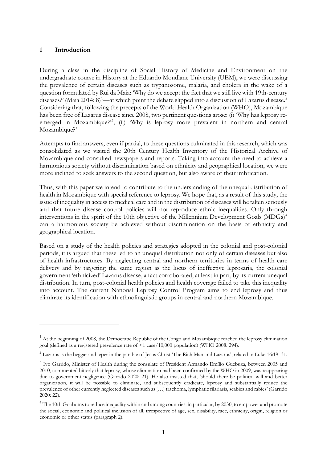### **1 Introduction**

During a class in the discipline of Social History of Medicine and Environment on the undergraduate course in History at the Eduardo Mondlane University (UEM), we were discussing the prevalence of certain diseases such as trypanosome, malaria, and cholera in the wake of a question formulated by Rui da Maia: 'Why do we accept the fact that we still live with 19th-century diseases?' (Maia 20[1](#page-2-0)4: 8)<sup>1</sup>—at which point the debate slipped into a discussion of Lazarus disease.<sup>[2](#page-2-1)</sup> Considering that, following the precepts of the World Health Organization (WHO), Mozambique has been free of Lazarus disease since 2008, two pertinent questions arose: (i) 'Why has leprosy re-emerged in Mozambique?<sup>2[3](#page-2-2)</sup>; (ii) 'Why is leprosy more prevalent in northern and central Mozambique?'

Attempts to find answers, even if partial, to these questions culminated in this research, which was consolidated as we visited the 20th Century Health Inventory of the Historical Archive of Mozambique and consulted newspapers and reports. Taking into account the need to achieve a harmonious society without discrimination based on ethnicity and geographical location, we were more inclined to seek answers to the second question, but also aware of their imbrication.

Thus, with this paper we intend to contribute to the understanding of the unequal distribution of health in Mozambique with special reference to leprosy. We hope that, as a result of this study, the issue of inequality in access to medical care and in the distribution of diseases will be taken seriously and that future disease control policies will not reproduce ethnic inequalities. Only through interventions in the spirit of the 10th objective of the Millennium Development Goals  $(MDGs)^4$  $(MDGs)^4$ can a harmonious society be achieved without discrimination on the basis of ethnicity and geographical location.

Based on a study of the health policies and strategies adopted in the colonial and post-colonial periods, it is argued that these led to an unequal distribution not only of certain diseases but also of health infrastructures. By neglecting central and northern territories in terms of health care delivery and by targeting the same region as the locus of ineffective leprosaria, the colonial government 'ethnicized' Lazarus disease, a fact corroborated, at least in part, by its current unequal distribution. In turn, post-colonial health policies and health coverage failed to take this inequality into account. The current National Leprosy Control Program aims to end leprosy and thus eliminate its identification with ethnolinguistic groups in central and northern Mozambique.

<span id="page-2-0"></span> $1 \text{ At the beginning of } 2008$ , the Democratic Republic of the Congo and Mozambique reached the leprosy elimination goal (defined as a registered prevalence rate of <1 case/10,000 population) (WHO 2008: 294).

<span id="page-2-1"></span><sup>&</sup>lt;sup>2</sup> Lazarus is the beggar and leper in the parable of Jesus Christ 'The Rich Man and Lazarus', related in Luke 16:19–31.

<span id="page-2-2"></span><sup>&</sup>lt;sup>3</sup> Ivo Garrido, Minister of Health during the consulate of President Armando Emílio Guebuza, between 2005 and 2010, commented bitterly that leprosy, whose elimination had been confirmed by the WHO in 2009, was reappearing due to government negligence (Garrido 2020: 21). He also insisted that, 'should there be political will and better organization, it will be possible to eliminate, and subsequently eradicate, leprosy and substantially reduce the prevalence of other currently neglected diseases such as […] trachoma, lymphatic filariasis, scabies and rabies' (Garrido 2020: 22).

<span id="page-2-3"></span><sup>&</sup>lt;sup>4</sup> The 10th Goal aims to reduce inequality within and among countries: in particular, by 2030, to empower and promote the social, economic and political inclusion of all, irrespective of age, sex, disability, race, ethnicity, origin, religion or economic or other status (paragraph 2).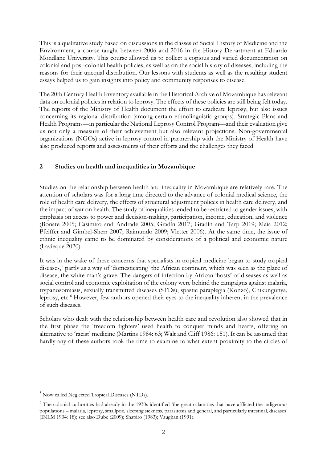This is a qualitative study based on discussions in the classes of Social History of Medicine and the Environment, a course taught between 2006 and 2016 in the History Department at Eduardo Mondlane University. This course allowed us to collect a copious and varied documentation on colonial and post-colonial health policies, as well as on the social history of diseases, including the reasons for their unequal distribution. Our lessons with students as well as the resulting student essays helped us to gain insights into policy and community responses to disease.

The 20th Century Health Inventory available in the Historical Archive of Mozambique has relevant data on colonial policies in relation to leprosy. The effects of these policies are still being felt today. The reports of the Ministry of Health document the effort to eradicate leprosy, but also issues concerning its regional distribution (among certain ethnolinguistic groups). Strategic Plans and Health Programs—in particular the National Leprosy Control Program—and their evaluation give us not only a measure of their achievement but also relevant projections. Non-governmental organizations (NGOs) active in leprosy control in partnership with the Ministry of Health have also produced reports and assessments of their efforts and the challenges they faced.

## **2 Studies on health and inequalities in Mozambique**

Studies on the relationship between health and inequality in Mozambique are relatively rare. The attention of scholars was for a long time directed to the advance of colonial medical science, the role of health care delivery, the effects of structural adjustment polices in health care delivery, and the impact of war on health. The study of inequalities tended to be restricted to gender issues, with emphasis on access to power and decision-making, participation, income, education, and violence (Bonate 2005; Casimiro and Andrade 2005; Gradín 2017; Gradín and Tarp 2019; Maia 2012; Pfeiffer and Gimbel-Sherr 2007; Raimundo 2009; Vletter 2006). At the same time, the issue of ethnic inequality came to be dominated by considerations of a political and economic nature (Lavieque 2020).

It was in the wake of these concerns that specialists in tropical medicine began to study tropical diseases, [5](#page-3-0) partly as a way of 'domesticating' the African continent, which was seen as the place of disease, the white man's grave. The dangers of infection by African 'hosts' of diseases as well as social control and economic exploitation of the colony were behind the campaigns against malaria, trypanosomiasis, sexually transmitted diseases (STDs), spastic paraplegia (Konzo), Chikungunya, leprosy, etc.<sup>[6](#page-3-1)</sup> However, few authors opened their eyes to the inequality inherent in the prevalence of such diseases.

Scholars who dealt with the relationship between health care and revolution also showed that in the first phase the 'freedom fighters' used health to conquer minds and hearts, offering an alternative to 'racist' medicine (Martins 1984: 63; Walt and Cliff 1986: 151). It can be assumed that hardly any of these authors took the time to examine to what extent proximity to the circles of

<span id="page-3-0"></span><sup>5</sup> Now called Neglected Tropical Diseases (NTDs).

<span id="page-3-1"></span><sup>&</sup>lt;sup>6</sup> The colonial authorities had already in the 1930s identified 'the great calamities that have afflicted the indigenous populations – malaria, leprosy, smallpox, sleeping sickness, parasitosis and general, and particularly intestinal, diseases' (INLM 1934: 18); see also Dube (2009); Shapiro (1983); Vaughan (1991).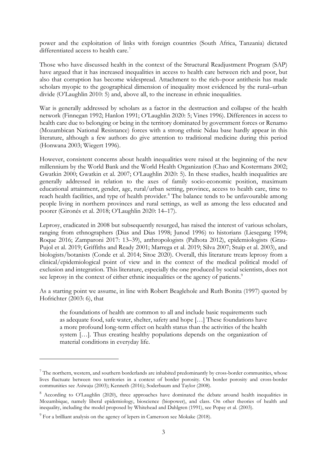power and the exploitation of links with foreign countries (South Africa, Tanzania) dictated differentiated access to health care.<sup>[7](#page-4-0)</sup>

Those who have discussed health in the context of the Structural Readjustment Program (SAP) have argued that it has increased inequalities in access to health care between rich and poor, but also that corruption has become widespread. Attachment to the rich–poor antithesis has made scholars myopic to the geographical dimension of inequality most evidenced by the rural–urban divide (O'Laughlin 2010: 5) and, above all, to the increase in ethnic inequalities.

War is generally addressed by scholars as a factor in the destruction and collapse of the health network (Finnegan 1992; Hanlon 1991; O'Laughlin 2020: 5; Vines 1996). Differences in access to health care due to belonging or being in the territory dominated by government forces or Renamo (Mozambican National Resistance) forces with a strong ethnic Ndau base hardly appear in this literature, although a few authors do give attention to traditional medicine during this period (Honwana 2003; Wiegert 1996).

However, consistent concerns about health inequalities were raised at the beginning of the new millennium by the World Bank and the World Health Organization (Chao and Kostermans 2002; Gwatkin 2000; Gwatkin et al. 2007; O'Laughlin 2020: 5). In these studies, health inequalities are generally addressed in relation to the axes of family socio-economic position, maximum educational attainment, gender, age, rural/urban setting, province, access to health care, time to reach health facilities, and type of health provider.<sup>[8](#page-4-1)</sup> The balance tends to be unfavourable among people living in northern provinces and rural settings, as well as among the less educated and poorer (Gironés et al. 2018; O'Laughlin 2020: 14–17).

Leprosy, eradicated in 2008 but subsequently resurged, has raised the interest of various scholars, ranging from ethnographers (Dias and Dias 1998; Junod 1996) to historians (Liesegang 1994; Roque 2016; Zamparoni 2017: 13–39), anthropologists (Palhota 2012), epidemiologists (Grau-Pujol et al. 2019; Griffiths and Ready 2001; Marrega et al. 2019; Silva 2007; Stuip et al. 2003), and biologists/botanists (Conde et al. 2014; Sitoe 2020). Overall, this literature treats leprosy from a clinical/epidemiological point of view and in the context of the medical political model of exclusion and integration. This literature, especially the one produced by social scientists, does not see leprosy in the context of either ethnic inequalities or the agency of patients.<sup>[9](#page-4-2)</sup>

As a starting point we assume, in line with Robert Beaglehole and Ruth Bonita (1997) quoted by Hofrichter (2003: 6), that

the foundations of health are common to all and include basic requirements such as adequate food, safe water, shelter, safety and hope […] These foundations have a more profound long-term effect on health status than the activities of the health system […]. Thus creating healthy populations depends on the organization of material conditions in everyday life.

<span id="page-4-0"></span> $7$  The northern, western, and southern borderlands are inhabited predominantly by cross-border communities, whose lives fluctuate between two territories in a context of border porosity. On border porosity and cross-border communities see Asiwaju (2003); Kenneth (2016); Soderbaum and Taylor (2008).

<span id="page-4-1"></span><sup>&</sup>lt;sup>8</sup> According to O'Laughlin (2020), three approaches have dominated the debate around health inequalities in Mozambique, namely liberal epidemiology, bioscience (biopower), and class. On other theories of health and inequality, including the model proposed by Whitehead and Dahlgren (1991), see Popay et al. (2003).

<span id="page-4-2"></span> $9^9$  For a brilliant analysis on the agency of lepers in Cameroon see Mokake (2018).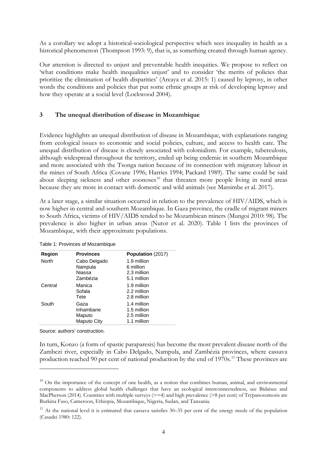As a corollary we adopt a historical-sociological perspective which sees inequality in health as a historical phenomenon (Thompson 1993: 9), that is, as something created through human agency.

Our attention is directed to unjust and preventable health inequities. We propose to reflect on 'what conditions make health inequalities unjust' and to consider 'the merits of policies that prioritize the elimination of health disparities' (Arcaya et al. 2015: 1) caused by leprosy, in other words the conditions and policies that put some ethnic groups at risk of developing leprosy and how they operate at a social level (Lockwood 2004).

### **3 The unequal distribution of disease in Mozambique**

Evidence highlights an unequal distribution of disease in Mozambique, with explanations ranging from ecological issues to economic and social policies, culture, and access to health care. The unequal distribution of disease is closely associated with colonialism. For example, tuberculosis, although widespread throughout the territory, ended up being endemic in southern Mozambique and more associated with the Tsonga nation because of its connection with migratory labour in the mines of South Africa (Covane 1996; Harries 1994; Packard 1989). The same could be said about sleeping sickness and other zoonoses $10$  that threaten more people living in rural areas because they are more in contact with domestic and wild animals (see Matsimbe et al. 2017).

At a later stage, a similar situation occurred in relation to the prevalence of HIV/AIDS, which is now higher in central and southern Mozambique. In Gaza province, the cradle of migrant miners to South Africa, victims of HIV/AIDS tended to be Mozambican miners (Mungoi 2010: 98). The prevalence is also higher in urban areas (Nutor et al. 2020). Table 1 lists the provinces of Mozambique, with their approximate populations.

| <b>Region</b><br><b>Provinces</b> |                                               | <b>Population</b> (2017)                                 |  |
|-----------------------------------|-----------------------------------------------|----------------------------------------------------------|--|
| North                             | Cabo Delgado<br>Nampula<br>Niassa<br>Zambézia | 1.9 million<br>6 million<br>2.3 million<br>5.1 million   |  |
| Central                           | Manica<br>Sofala<br>Tete                      | 1.9 million<br>2.2 million<br>2.8 million                |  |
| South                             | Gaza<br>Inhambane<br>Maputo<br>Maputo City    | 1.4 million<br>1.5 million<br>2.5 million<br>1.1 million |  |

Table 1: Provinces of Mozambique

Source: authors' construction.

In turn, Konzo (a form of spastic paraparesis) has become the most prevalent disease north of the Zambezi river, especially in Cabo Delgado, Nampula, and Zambézia provinces, where cassava production reached 90 per cent of national production by the end of 1970s.<sup>[11](#page-5-1)</sup> These provinces are

<span id="page-5-0"></span><sup>&</sup>lt;sup>10</sup> On the importance of the concept of one health, as a notion that combines human, animal, and environmental components to address global health challenges that have an ecological interconnectedness, see Bidaisee and MacPherson (2014). Countries with multiple surveys  $(>= 4)$  and high prevalence  $(>= 8$  per cent) of Trypanosomosis are Burkina Faso, Cameroon, Ethiopia, Mozambique, Nigeria, Sudan, and Tanzania.

<span id="page-5-1"></span> $11$  At the national level it is estimated that cassava satisfies  $30-35$  per cent of the energy needs of the population (Casadei 1980: 122).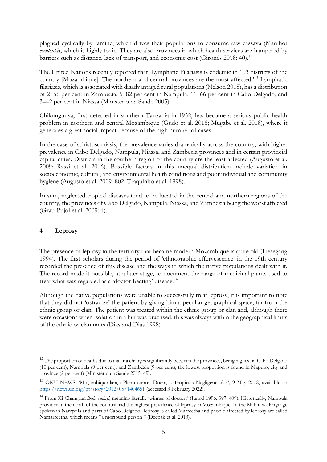plagued cyclically by famine, which drives their populations to consume raw cassava (Manihot *esculenta*), which is highly toxic. They are also provinces in which health services are hampered by barriers such as distance, lack of transport, and economic cost (Gironés 2018: 40).<sup>[12](#page-6-0)</sup>

The United Nations recently reported that 'Lymphatic Filariasis is endemic in 103 districts of the country [Mozambique]. The northern and central provinces are the most affected.' [13](#page-6-1) Lymphatic filariasis, which is associated with disadvantaged rural populations (Nelson 2018), has a distribution of 2–56 per cent in Zambezia, 5–82 per cent in Nampula, 11–66 per cent in Cabo Delgado, and 3–42 per cent in Niassa (Ministério da Saúde 2005).

Chikungunya, first detected in southern Tanzania in 1952, has become a serious public health problem in northern and central Mozambique (Gudo et al. 2016; Mugabe et al. 2018), where it generates a great social impact because of the high number of cases.

In the case of schistosomiasis, the prevalence varies dramatically across the country, with higher prevalence in Cabo Delgado, Nampula, Niassa, and Zambézia provinces and in certain provincial capital cities. Districts in the southern region of the country are the least affected (Augusto et al. 2009; Rassi et al. 2016). Possible factors in this unequal distribution include variation in socioeconomic, cultural, and environmental health conditions and poor individual and community hygiene (Augusto et al. 2009: 802; Traquinho et al. 1998).

In sum, neglected tropical diseases tend to be located in the central and northern regions of the country, the provinces of Cabo Delgado, Nampula, Niassa, and Zambézia being the worst affected (Grau-Pujol et al. 2009: 4).

## **4 Leprosy**

The presence of leprosy in the territory that became modern Mozambique is quite old (Liesegang 1994). The first scholars during the period of 'ethnographic effervescence' in the 19th century recorded the presence of this disease and the ways in which the native populations dealt with it. The record made it possible, at a later stage, to document the range of medicinal plants used to treat what was regarded as a 'doctor-beating' disease.<sup>[14](#page-6-2)</sup>

Although the native populations were unable to successfully treat leprosy, it is important to note that they did not 'ostracize' the patient by giving him a peculiar geographical space, far from the ethnic group or clan. The patient was treated within the ethnic group or clan and, although there were occasions when isolation in a hut was practised, this was always within the geographical limits of the ethnic or clan units (Dias and Dias 1998).

<span id="page-6-0"></span><sup>&</sup>lt;sup>12</sup> The proportion of deaths due to malaria changes significantly between the provinces, being highest in Cabo Delgado (10 per cent), Nampula (9 per cent), and Zambézia (9 per cent); the lowest proportion is found in Maputo, city and province (2 per cent) (Ministério da Saúde 2015: 49).

<span id="page-6-1"></span><sup>13</sup> ONU NEWS, 'Moçambique lança Plano contra Doenças Tropicais Negligenciadas', 9 May 2012, available at: <https://news.un.org/pt/story/2012/05/1404651> (accessed 3 February 2022).

<span id="page-6-2"></span><sup>14</sup> From Xi-Changaan *lhula vadayi*, meaning literally 'winner of doctors' (Junod 1996: 397, 409)*.* Historically, Nampula province in the north of the country had the highest prevalence of leprosy in Mozambique. In the Makhuwa language spoken in Nampula and parts of Cabo Delgado, 'leprosy is called Marreetha and people affected by leprosy are called Namarreetha, which means "a moribund person"' (Deepak et al. 2013).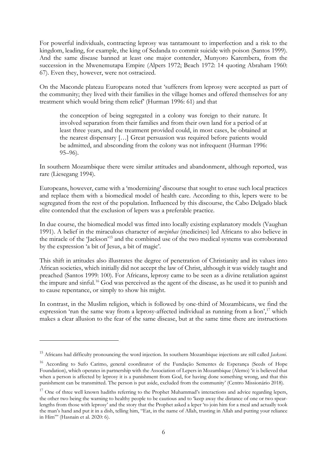For powerful individuals, contracting leprosy was tantamount to imperfection and a risk to the kingdom, leading, for example, the king of Sedanda to commit suicide with poison (Santos 1999). And the same disease banned at least one major contender, Munyoro Karembera, from the succession in the Mwenemutapa Empire (Alpers 1972; Beach 1972: 14 quoting Abraham 1960: 67). Even they, however, were not ostracized.

On the Maconde plateau Europeans noted that 'sufferers from leprosy were accepted as part of the community; they lived with their families in the village homes and offered themselves for any treatment which would bring them relief' (Hurman 1996: 61) and that

the conception of being segregated in a colony was foreign to their nature. It involved separation from their families and from their own land for a period of at least three years, and the treatment provided could, in most cases, be obtained at the nearest dispensary […] Great persuasion was required before patients would be admitted, and absconding from the colony was not infrequent (Hurman 1996: 95–96).

In southern Mozambique there were similar attitudes and abandonment, although reported, was rare (Liesegang 1994).

Europeans, however, came with a 'modernizing' discourse that sought to erase such local practices and replace them with a biomedical model of health care. According to this, lepers were to be segregated from the rest of the population. Influenced by this discourse, the Cabo Delgado black elite contended that the exclusion of lepers was a preferable practice.

In due course, the biomedical model was fitted into locally existing explanatory models (Vaughan 1991). A belief in the miraculous character of *mezinhas* (medicines) led Africans to also believe in the miracle of the 'Jackson'[15](#page-7-0) and the combined use of the two medical systems was corroborated by the expression 'a bit of Jesus, a bit of magic'.

This shift in attitudes also illustrates the degree of penetration of Christianity and its values into African societies, which initially did not accept the law of Christ, although it was widely taught and preached (Santos 1999: 100). For Africans, leprosy came to be seen as a divine retaliation against the impure and sinful. [16](#page-7-1) God was perceived as the agent of the disease, as he used it to punish and to cause repentance, or simply to show his might.

In contrast, in the Muslim religion, which is followed by one-third of Mozambicans, we find the expression 'run the same way from a leprosy-affected individual as running from a lion',<sup>[17](#page-7-2)</sup> which makes a clear allusion to the fear of the same disease, but at the same time there are instructions

<span id="page-7-0"></span><sup>15</sup> Africans had difficulty pronouncing the word injection. In southern Mozambique injections are still called *Jackseni*.

<span id="page-7-1"></span><sup>16</sup> According to Sufo Carimo, general coordinator of the Fundação Sementes de Esperança (Seeds of Hope Foundation), which operates in partnership with the Association of Lepers in Mozambique (Alemo) 'it is believed that when a person is affected by leprosy it is a punishment from God, for having done something wrong, and that this punishment can be transmitted. The person is put aside, excluded from the community' (Centro Missionário 2018).

<span id="page-7-2"></span><sup>&</sup>lt;sup>17</sup> One of three well known hadiths referring to the Prophet Muhammad's interactions and advice regarding lepers, the other two being the warning to healthy people to be cautious and to 'keep away the distance of one or two spearlengths from those with leprosy' and the story that the Prophet asked a leper 'to join him for a meal and actually took the man's hand and put it in a dish, telling him, "Eat, in the name of Allah, trusting in Allah and putting your reliance in Him"' (Hasnain et al. 2020: 6).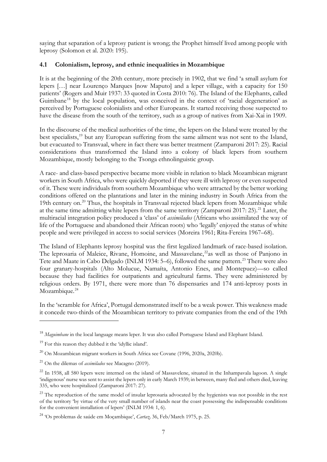saying that separation of a leprosy patient is wrong; the Prophet himself lived among people with leprosy (Solomon et al. 2020: 195).

## **4.1 Colonialism, leprosy, and ethnic inequalities in Mozambique**

It is at the beginning of the 20th century, more precisely in 1902, that we find 'a small asylum for lepers […] near Lourenço Marques [now Maputo] and a leper village, with a capacity for 150 patients' (Rogers and Muir 1937: 33 quoted in Costa 2010: 76). The Island of the Elephants, called Guimbane<sup>[18](#page-8-0)</sup> by the local population, was conceived in the context of 'racial degeneration' as perceived by Portuguese colonialists and other Europeans. It started receiving those suspected to have the disease from the south of the territory, such as a group of natives from Xai-Xai in 1909.

In the discourse of the medical authorities of the time, the lepers on the Island were treated by the best specialists,<sup>[19](#page-8-1)</sup> but any European suffering from the same ailment was not sent to the Island, but evacuated to Transvaal, where in fact there was better treatment (Zamparoni 2017: 25). Racial considerations thus transformed the Island into a colony of black lepers from southern Mozambique, mostly belonging to the Tsonga ethnolinguistic group.

A race- and class-based perspective became more visible in relation to black Mozambican migrant workers in South Africa, who were quickly deported if they were ill with leprosy or even suspected of it. These were individuals from southern Mozambique who were attracted by the better working conditions offered on the plantations and later in the mining industry in South Africa from the 19th century on.<sup>[20](#page-8-2)</sup> Thus, the hospitals in Transvaal rejected black lepers from Mozambique while at the same time admitting white lepers from the same territory (Zamparoni 2017: 25).<sup>[21](#page-8-3)</sup> Later, the multiracial integration policy produced a 'class' of *assimilados* (Africans who assimilated the way of life of the Portuguese and abandoned their African roots) who 'legally' enjoyed the status of white people and were privileged in access to social services (Moreira 1961; Rita-Fereira 1967–68).

The Island of Elephants leprosy hospital was the first legalized landmark of race-based isolation. The leprosaria of Maleice, Rivane, Homoine, and Massavelane,<sup>22</sup>as well as those of Panjono in Tete and Maate in Cabo Delgado (INLM 1934: 5–6), followed the same pattern.<sup>[23](#page-8-5)</sup> There were also four granary-hospitals (Alto Molucue, Namaíta, Antonio Enes, and Montepuez)—so called because they had facilities for outpatients and agricultural farms. They were administered by religious orders. By 1971, there were more than 76 dispensaries and 174 anti-leprosy posts in Mozambique.<sup>[24](#page-8-6)</sup>

In the 'scramble for Africa', Portugal demonstrated itself to be a weak power. This weakness made it concede two-thirds of the Mozambican territory to private companies from the end of the 19th

<span id="page-8-0"></span><sup>18</sup> *Maguimbane* in the local language means leper. It was also called Portuguese Island and Elephant Island.

<span id="page-8-1"></span><sup>&</sup>lt;sup>19</sup> For this reason they dubbed it the 'idyllic island'.

<span id="page-8-2"></span> $^{20}$  On Mozambican migrant workers in South Africa see Covane (1996, 2020a, 2020b).

<span id="page-8-3"></span><sup>21</sup> On the dilemas of *assimilados* see Macagno (2019).

<span id="page-8-4"></span> $22$  In 1938, all 580 lepers were interned on the island of Massavelene, situated in the Inhampavala lagoon. A single 'indigenous' nurse was sent to assist the lepers only in early March 1939; in between, many fled and others died, leaving 335, who were hospitalized (Zamparoni 2017: 27).

<span id="page-8-5"></span><sup>&</sup>lt;sup>23</sup> The reproduction of the same model of insular leprosaria advocated by the hygienists was not possible in the rest of the territory 'by virtue of the very small number of islands near the coast possessing the indispensable conditions for the convenient installation of lepers' (INLM 1934: 1, 6).

<span id="page-8-6"></span><sup>24</sup> 'Os problemas de saúde em Moçambique', *Cartaz,* 36, Feb/March 1975, p. 25.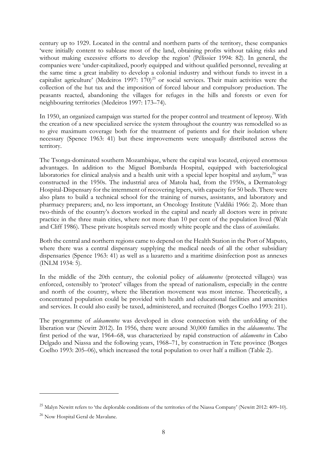century up to 1929. Located in the central and northern parts of the territory, these companies 'were initially content to sublease most of the land, obtaining profits without taking risks and without making excessive efforts to develop the region' (Pélissier 1994: 82). In general, the companies were 'under-capitalized, poorly equipped and without qualified personnel, revealing at the same time a great inability to develop a colonial industry and without funds to invest in a capitalist agriculture' (Medeiros 1997:  $170)^{25}$  $170)^{25}$  $170)^{25}$  or social services. Their main activities were the collection of the hut tax and the imposition of forced labour and compulsory production. The peasants reacted, abandoning the villages for refuges in the hills and forests or even for neighbouring territories (Medeiros 1997: 173–74).

In 1950, an organized campaign was started for the proper control and treatment of leprosy. With the creation of a new specialized service the system throughout the country was remodelled so as to give maximum coverage both for the treatment of patients and for their isolation where necessary (Spence 1963: 41) but these improvements were unequally distributed across the territory.

The Tsonga-dominated southern Mozambique, where the capital was located, enjoyed enormous advantages. In addition to the Miguel Bombarda Hospital, equipped with bacteriological laboratories for clinical analysis and a health unit with a special leper hospital and asylum,<sup>[26](#page-9-1)</sup> was constructed in the 1950s. The industrial area of Matola had, from the 1950s, a Dermatology Hospital-Dispensary for the internment of recovering lepers, with capacity for 50 beds. There were also plans to build a technical school for the training of nurses, assistants, and laboratory and pharmacy preparers; and, no less important, an Oncology Institute (Valdiki 1966: 2). More than two-thirds of the country's doctors worked in the capital and nearly all doctors were in private practice in the three main cities, where not more than 10 per cent of the population lived (Walt and Cliff 1986). These private hospitals served mostly white people and the class of *assimilados*.

Both the central and northern regions came to depend on the Health Station in the Port of Maputo, where there was a central dispensary supplying the medical needs of all the other subsidiary dispensaries (Spence 1963: 41) as well as a lazaretto and a maritime disinfection post as annexes (INLM 1934: 5).

In the middle of the 20th century, the colonial policy of *aldeamentos* (protected villages) was enforced, ostensibly to 'protect' villages from the spread of nationalism, especially in the centre and north of the country, where the liberation movement was most intense. Theoretically, a concentrated population could be provided with health and educational facilities and amenities and services. It could also easily be taxed, administered, and recruited (Borges Coelho 1993: 211).

The programme of *aldeamentos* was developed in close connection with the unfolding of the liberation war (Newitt 2012). In 1956, there were around 30,000 families in the *aldeamentos*. The first period of the war, 1964–68, was characterized by rapid construction of *aldamentos* in Cabo Delgado and Niassa and the following years, 1968–71, by construction in Tete province (Borges Coelho 1993: 205–06), which increased the total population to over half a million (Table 2).

<span id="page-9-0"></span> $^{25}$  Malyn Newitt refers to 'the deplorable conditions of the territories of the Niassa Company' (Newitt 2012: 409–10).

<span id="page-9-1"></span><sup>26</sup> Now Hospital Geral de Mavalane.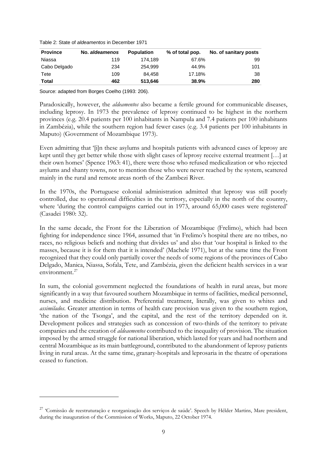Table 2: State of *aldeamentos* in December 1971

| <b>Province</b> | No. aldeamenos | <b>Population</b> | % of total pop. | No. of sanitary posts |
|-----------------|----------------|-------------------|-----------------|-----------------------|
| Niassa          | 119            | 174.189           | 67.6%           | 99                    |
| Cabo Delgado    | 234            | 254.999           | 44.9%           | 101                   |
| Tete            | 109            | 84.458            | 17.18%          | 38                    |
| <b>Total</b>    | 462            | 513.646           | 38.9%           | 280                   |

Source: adapted from Borges Coelho (1993: 206).

Paradoxically, however, the *aldeamentos* also became a fertile ground for communicable diseases, including leprosy. In 1973 the prevalence of leprosy continued to be highest in the northern provinces (e.g. 20.4 patients per 100 inhabitants in Nampula and 7.4 patients per 100 inhabitants in Zambézia), while the southern region had fewer cases (e.g. 3.4 patients per 100 inhabitants in Maputo) (Government of Mozambique 1973).

Even admitting that '[i]n these asylums and hospitals patients with advanced cases of leprosy are kept until they get better while those with slight cases of leprosy receive external treatment […] at their own homes' (Spence 1963: 41), there were those who refused medicalization or who rejected asylums and shanty towns, not to mention those who were never reached by the system, scattered mainly in the rural and remote areas north of the Zambezi River.

In the 1970s, the Portuguese colonial administration admitted that leprosy was still poorly controlled, due to operational difficulties in the territory, especially in the north of the country, where 'during the control campaigns carried out in 1973, around 65,000 cases were registered' (Casadei 1980: 32).

In the same decade, the Front for the Liberation of Mozambique (Frelimo), which had been fighting for independence since 1964, assumed that 'in Frelimo's hospital there are no tribes, no races, no religious beliefs and nothing that divides us' and also that 'our hospital is linked to the masses, because it is for them that it is intended' (Machele 1971), but at the same time the Front recognized that they could only partially cover the needs of some regions of the provinces of Cabo Delgado, Manica, Niassa, Sofala, Tete, and Zambézia, given the deficient health services in a war environment.<sup>[27](#page-10-0)</sup>

In sum, the colonial government neglected the foundations of health in rural areas, but more significantly in a way that favoured southern Mozambique in terms of facilities, medical personnel, nurses, and medicine distribution. Preferential treatment, literally, was given to whites and *assimilados*. Greater attention in terms of health care provision was given to the southern region, 'the nation of the Tsonga', and the capital, and the rest of the territory depended on it. Development polices and strategies such as concession of two-thirds of the territory to private companies and the creation of *aldeaementos* contributed to the inequality of provision. The situation imposed by the armed struggle for national liberation, which lasted for years and had northern and central Mozambique as its main battleground, contributed to the abandonment of leprosy patients living in rural areas. At the same time, granary-hospitals and leprosaria in the theatre of operations ceased to function.

<span id="page-10-0"></span><sup>&</sup>lt;sup>27</sup> 'Comissão de reestruturação e reorganização dos serviços de saúde'. Speech by Hélder Martins, Mare president, during the inauguration of the Commission of Works, Maputo, 22 October 1974.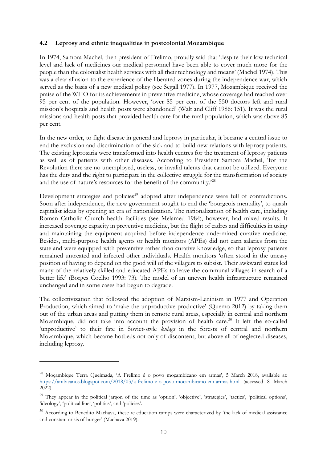#### **4.2 Leprosy and ethnic inequalities in postcolonial Mozambique**

In 1974, Samora Machel, then president of Frelimo, proudly said that 'despite their low technical level and lack of medicines our medical personnel have been able to cover much more for the people than the colonialist health services with all their technology and means' (Machel 1974). This was a clear allusion to the experience of the liberated zones during the independence war, which served as the basis of a new medical policy (see Segall 1977). In 1977, Mozambique received the praise of the WHO for its achievements in preventive medicine, whose coverage had reached over 95 per cent of the population. However, 'over 85 per cent of the 550 doctors left and rural mission's hospitals and health posts were abandoned' (Walt and Cliff 1986: 151). It was the rural missions and health posts that provided health care for the rural population, which was above 85 per cent.

In the new order, to fight disease in general and leprosy in particular, it became a central issue to end the exclusion and discrimination of the sick and to build new relations with leprosy patients. The existing leprosaria were transformed into health centres for the treatment of leprosy patients as well as of patients with other diseases. According to President Samora Machel, 'for the Revolution there are no unemployed, useless, or invalid talents that cannot be utilized. Everyone has the duty and the right to participate in the collective struggle for the transformation of society and the use of nature's resources for the benefit of the community.'<sup>[28](#page-11-0)</sup>

Development strategies and policies<sup>[29](#page-11-1)</sup> adopted after independence were full of contradictions. Soon after independence, the new government sought to end the 'bourgeois mentality', to quash capitalist ideas by opening an era of nationalization. The nationalization of health care, including Roman Catholic Church health facilities (see Melamed 1984), however, had mixed results. It increased coverage capacity in preventive medicine, but the flight of cadres and difficulties in using and maintaining the equipment acquired before independence undermined curative medicine. Besides, multi-purpose health agents or health monitors (APEs) did not earn salaries from the state and were equipped with preventive rather than curative knowledge, so that leprosy patients remained untreated and infected other individuals. Health monitors 'often stood in the uneasy position of having to depend on the good will of the villagers to subsist. Their awkward status led many of the relatively skilled and educated APEs to leave the communal villages in search of a better life' (Borges Coelho 1993: 73). The model of an uneven health infrastructure remained unchanged and in some cases had begun to degrade.

The collectivization that followed the adoption of Marxism-Leninism in 1977 and Operation Production, which aimed to 'make the unproductive productive' (Quemo 2012) by taking them out of the urban areas and putting them in remote rural areas, especially in central and northern Mozambique, did not take into account the provision of health care.<sup>[30](#page-11-2)</sup> It left the so-called 'unproductive' to their fate in Soviet-style *kulags* in the forests of central and northern Mozambique, which became hotbeds not only of discontent, but above all of neglected diseases, including leprosy.

<span id="page-11-0"></span><sup>&</sup>lt;sup>28</sup> Moçambique Terra Queimada, 'A Frelimo é o povo moçambicano em armas', 5 March 2018, available at: <https://ambicanos.blogspot.com/2018/03/a-frelimo-e-o-povo-mocambicano-em-armas.html> (accessed 8 March 2022).

<span id="page-11-1"></span><sup>&</sup>lt;sup>29</sup> They appear in the political jargon of the time as 'option', 'objective', 'strategies', 'tactics', 'political options', 'ideology', 'political line', 'politics', and 'policies'.

<span id="page-11-2"></span><sup>&</sup>lt;sup>30</sup> According to Benedito Machava, these re-education camps were characterized by 'the lack of medical assistance and constant crisis of hunger' (Machava 2019).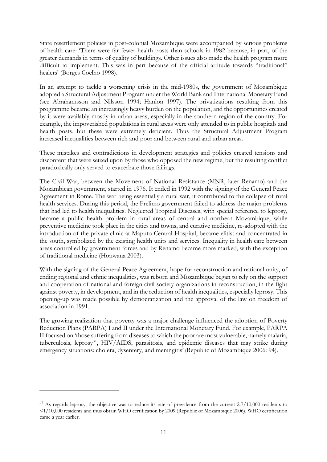State resettlement policies in post-colonial Mozambique were accompanied by serious problems of health care: 'There were far fewer health posts than schools in 1982 because, in part, of the greater demands in terms of quality of buildings. Other issues also made the health program more difficult to implement. This was in part because of the official attitude towards "traditional" healers' (Borges Coelho 1998).

In an attempt to tackle a worsening crisis in the mid-1980s, the government of Mozambique adopted a Structural Adjustment Program under the World Bank and International Monetary Fund (see Abrahamsson and Nilsson 1994; Hanlon 1997). The privatizations resulting from this programme became an increasingly heavy burden on the population, and the opportunities created by it were availably mostly in urban areas, especially in the southern region of the country. For example, the impoverished populations in rural areas were only attended to in public hospitals and health posts, but these were extremely deficient. Thus the Structural Adjustment Program increased inequalities between rich and poor and between rural and urban areas.

These mistakes and contradictions in development strategies and policies created tensions and discontent that were seized upon by those who opposed the new regime, but the resulting conflict paradoxically only served to exacerbate those failings.

The Civil War, between the Movement of National Resistance (MNR, later Renamo) and the Mozambican government, started in 1976. It ended in 1992 with the signing of the General Peace Agreement in Rome. The war being essentially a rural war, it contributed to the collapse of rural health services. During this period, the Frelimo government failed to address the major problems that had led to health inequalities. Neglected Tropical Diseases, with special reference to leprosy, became a public health problem in rural areas of central and northern Mozambique, while preventive medicine took place in the cities and towns, and curative medicine, re-adopted with the introduction of the private clinic at Maputo Central Hospital, became elitist and concentrated in the south, symbolized by the existing health units and services. Inequality in health care between areas controlled by government forces and by Renamo became more marked, with the exception of traditional medicine (Honwana 2003).

With the signing of the General Peace Agreement, hope for reconstruction and national unity, of ending regional and ethnic inequalities, was reborn and Mozambique began to rely on the support and cooperation of national and foreign civil society organizations in reconstruction, in the fight against poverty, in development, and in the reduction of health inequalities, especially leprosy. This opening-up was made possible by democratization and the approval of the law on freedom of association in 1991.

The growing realization that poverty was a major challenge influenced the adoption of Poverty Reduction Plans (PARPA) I and II under the International Monetary Fund. For example, PARPA II focused on 'those suffering from diseases to which the poor are most vulnerable, namely malaria, tuberculosis, leprosy<sup>[31](#page-12-0)</sup>, HIV/AIDS, parasitosis, and epidemic diseases that may strike during emergency situations: cholera, dysentery, and meningitis' (Republic of Mozambique 2006: 94).

<span id="page-12-0"></span> $31$  As regards leprosy, the objective was to reduce its rate of prevalence from the current  $2.7/10,000$  residents to <1/10,000 residents and thus obtain WHO certification by 2009 (Republic of Mozambique 2006). WHO certification came a year earlier.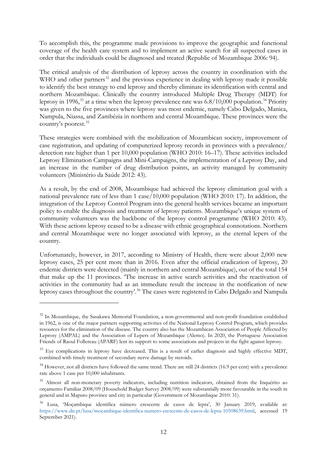To accomplish this, the programme made provisions to improve the geographic and functional coverage of the health care system and to implement an active search for all suspected cases in order that the individuals could be diagnosed and treated (Republic of Mozambique 2006: 94).

The critical analysis of the distribution of leprosy across the country in coordination with the WHO and other partners<sup>[32](#page-13-0)</sup> and the previous experience in dealing with leprosy made it possible to identify the best strategy to end leprosy and thereby eliminate its identification with central and northern Mozambique. Clinically the country introduced Multiple Drug Therapy (MDT) for leprosy in 1996,<sup>[33](#page-13-1)</sup> at a time when the leprosy prevalence rate was 6.8/10,000 population.<sup>[34](#page-13-2)</sup> Priority was given to the five provinces where leprosy was most endemic, namely Cabo Delgado, Manica, Nampula, Niassa, and Zambézia in northern and central Mozambique. These provinces were the country's poorest. [35](#page-13-3)

These strategies were combined with the mobilization of Mozambican society, improvement of case registration, and updating of computerized leprosy records in provinces with a prevalence/ detection rate higher than 1 per 10,000 population (WHO 2010: 16–17). These activities included Leprosy Elimination Campaigns and Mini-Campaigns, the implementation of a Leprosy Day, and an increase in the number of drug distribution points, an activity managed by community volunteers (Ministério da Saúde 2012: 43).

As a result, by the end of 2008, Mozambique had achieved the leprosy elimination goal with a national prevalence rate of less than 1 case/10,000 population (WHO 2010: 17). In addition, the integration of the Leprosy Control Program into the general health services became an important policy to enable the diagnosis and treatment of leprosy patients. Mozambique's unique system of community volunteers was the backbone of the leprosy control programme (WHO 2010: 43). With these actions leprosy ceased to be a disease with ethnic geographical connotations. Northern and central Mozambique were no longer associated with leprosy, as the eternal lepers of the country.

Unfortunately, however, in 2017, according to Ministry of Health, there were about 2,000 new leprosy cases, 25 per cent more than in 2016. Even after the official eradication of leprosy, 20 endemic districts were detected (mainly in northern and central Mozambique), out of the total 154 that make up the 11 provinces. 'The increase in active search activities and the reactivation of activities in the community had as an immediate result the increase in the notification of new leprosy cases throughout the country'. [36](#page-13-4) The cases were registered in Cabo Delgado and Nampula

<span id="page-13-0"></span><sup>&</sup>lt;sup>32</sup> In Mozambique, the Sasakawa Memorial Foundation, a non-governmental and non-profit foundation established in 1962, is one of the major partners supporting activities of the National Leprosy Control Program, which provides resources for the elimination of the disease. The country also has the Mozambican Association of People Affected by Leprosy (AMPAL) and the Association of Lepers of Mozambique (Alemo). In 2020, the Portuguese Association Friends of Raoul Follereau (APARF) lent its support to some associations and projects in the fight against leprosy.

<span id="page-13-1"></span><sup>&</sup>lt;sup>33</sup> Eye complications in leprosy have decreased. This is a result of earlier diagnosis and highly effective MDT, combined with timely treatment of secondary nerve damage by steroids.

<span id="page-13-2"></span><sup>&</sup>lt;sup>34</sup> However, not all districts have followed the same trend. There are still 24 districts (16.9 per cent) with a prevalence rate above 1 case per 10,000 inhabitants.

<span id="page-13-3"></span><sup>&</sup>lt;sup>35</sup> Almost all non-monetary poverty indicators, including nutrition indicators, obtained from the Inquérito ao orçamento Familiar 2008/09 (Household Budget Survey 2008/09) were substantially more favourable in the south in general and in Maputo province and city in particular (Government of Mozambique 2010: 31).

<span id="page-13-4"></span><sup>36</sup> Lusa, 'Moçambique identifica número crescente de casos de lepra', 30 January 2019, available at: [https://www.dn.pt/lusa/mocambique-identifica-numero-crescente-de-casos-de-lepra-10508639.html,](https://www.dn.pt/lusa/mocambique-identifica-numero-crescente-de-casos-de-lepra-10508639.html) accessed 19 September 2021).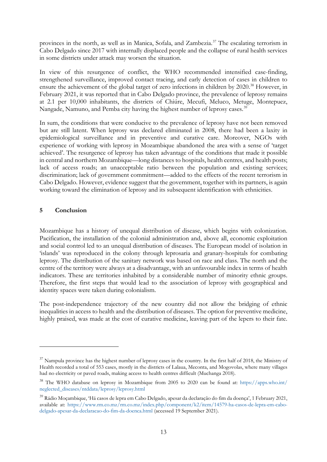provinces in the north, as well as in Manica, Sofala, and Zambezia.[37](#page-14-0) The escalating terrorism in Cabo Delgado since 2017 with internally displaced people and the collapse of rural health services in some districts under attack may worsen the situation.

In view of this resurgence of conflict, the WHO recommended intensified case-finding, strengthened surveillance, improved contact tracing, and early detection of cases in children to ensure the achievement of the global target of zero infections in children by 2020.<sup>[38](#page-14-1)</sup> However, in February 2021, it was reported that in Cabo Delgado province, the prevalence of leprosy remains at 2.1 per 10,000 inhabitants, the districts of Chiúre, Mecufi, Meluco, Metuge, Montepuez, Nangade, Namuno, and Pemba city having the highest number of leprosy cases.<sup>[39](#page-14-2)</sup>

In sum, the conditions that were conducive to the prevalence of leprosy have not been removed but are still latent. When leprosy was declared eliminated in 2008, there had been a laxity in epidemiological surveillance and in preventive and curative care. Moreover, NGOs with experience of working with leprosy in Mozambique abandoned the area with a sense of 'target achieved'. The resurgence of leprosy has taken advantage of the conditions that made it possible in central and northern Mozambique—long distances to hospitals, health centres, and health posts; lack of access roads; an unacceptable ratio between the population and existing services; discrimination; lack of government commitment—added to the effects of the recent terrorism in Cabo Delgado. However, evidence suggest that the government, together with its partners, is again working toward the elimination of leprosy and its subsequent identification with ethnicities.

## **5 Conclusion**

Mozambique has a history of unequal distribution of disease, which begins with colonization. Pacification, the installation of the colonial administration and, above all, economic exploitation and social control led to an unequal distribution of diseases. The European model of isolation in 'islands' was reproduced in the colony through leprosaria and granary-hospitals for combating leprosy. The distribution of the sanitary network was based on race and class. The north and the centre of the territory were always at a disadvantage, with an unfavourable index in terms of health indicators. These are territories inhabited by a considerable number of minority ethnic groups. Therefore, the first steps that would lead to the association of leprosy with geographical and identity spaces were taken during colonialism.

The post-independence trajectory of the new country did not allow the bridging of ethnic inequalities in access to health and the distribution of diseases. The option for preventive medicine, highly praised, was made at the cost of curative medicine, leaving part of the lepers to their fate.

<span id="page-14-0"></span> $37$  Nampula province has the highest number of leprosy cases in the country. In the first half of 2018, the Ministry of Health recorded a total of 553 cases, mostly in the districts of Lalaua, Meconta, and Mogovolas, where many villages had no electricity or paved roads, making access to health centres difficult (Muchanga 2018).

<span id="page-14-1"></span><sup>38</sup> The WHO database on leprosy in Mozambique from 2005 to 2020 can be found at: [https://apps.who.int/](https://apps.who.int/neglected_diseases/ntddata/leprosy/leprosy.html) [neglected\\_diseases/ntddata/leprosy/leprosy.html](https://apps.who.int/neglected_diseases/ntddata/leprosy/leprosy.html)

<span id="page-14-2"></span><sup>39</sup> Rádio Moçambique, 'Há casos de lepra em Cabo Delgado, apesar da declaração do fim da doença', 1 February 2021, available at: [https://www.rm.co.mz/rm.co.mz/index.php/component/k2/item/14579-ha-casos-de-lepra-em-cabo](https://www.rm.co.mz/rm.co.mz/index.php/component/k2/item/14579-ha-casos-de-lepra-em-cabo-delgado-apesar-da-declaracao-do-fim-da-doenca.html)[delgado-apesar-da-declaracao-do-fim-da-doenca.html](https://www.rm.co.mz/rm.co.mz/index.php/component/k2/item/14579-ha-casos-de-lepra-em-cabo-delgado-apesar-da-declaracao-do-fim-da-doenca.html) (accessed 19 September 2021).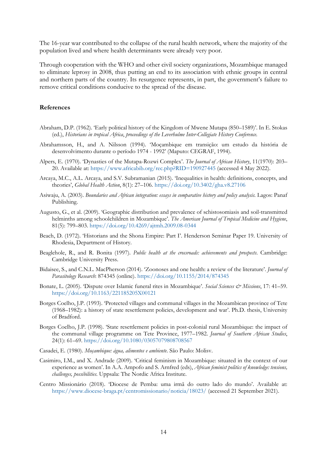The 16-year war contributed to the collapse of the rural health network, where the majority of the population lived and where health determinants were already very poor.

Through cooperation with the WHO and other civil society organizations, Mozambique managed to eliminate leprosy in 2008, thus putting an end to its association with ethnic groups in central and northern parts of the country. Its resurgence represents, in part, the government's failure to remove critical conditions conducive to the spread of the disease.

#### **References**

- Abraham, D.P. (1962). 'Early political history of the Kingdom of Mwene Mutapa (850–1589)'. In E. Stokas (ed.), *Historians in tropical Africa*, *proceedings of the Leverhulme Inter-Collegiate History Conference.*
- Abrahamsson, H., and A. Nilsson (1994). 'Moçambique em transição: um estudo da história de desenvolvimento durante o período 1974 - 1992' (Maputo: CEGRAF, 1994).
- Alpers, E. (1970). 'Dynasties of the Mutapa-Rozwi Complex'. *The Journal of African History*, 11(1970): 203– 20. Available at: <https://www.africabib.org/rec.php?RID=190927445> (accessed 4 May 2022).
- Arcaya, M.C., A.L. Arcaya, and S.V. Subramanian (2015). 'Inequalities in health: definitions, concepts, and theories', *Global Health Action*, 8(1): 27–106. <https://doi.org/10.3402/gha.v8.27106>
- Asiwaju, A. (2003). *Boundaries and African integration: essays in comparative history and policy analysis.* Lagos: Panaf Publishing.
- Augusto, G., et al. (2009). 'Geographic distribution and prevalence of schistosomiasis and soil-transmitted helminths among schoolchildren in Mozambique'. *The American Journal of Tropical Medicine and Hygiene*, 81(5): 799–803. <https://doi.org/10.4269/ajtmh.2009.08-0344>
- Beach, D. (1972). 'Historians and the Shona Empire: Part I'. Henderson Seminar Paper 19. University of Rhodesia, Department of History.
- Beaglehole, R., and R. Bonita (1997). *Public health at the crossroads: achievements and prospects*. Cambridge: Cambridge University Press.
- Bidaisee, S., and C.N.L. MacPherson (2014). 'Zoonoses and one health: a review of the literature'. *Journal of Parasitology Research*: 874345 (online). <https://doi.org/10.1155/2014/874345>
- Bonate, L. (2005). 'Dispute over Islamic funeral rites in Mozambique'. *Social Sciences & Missions*, 17: 41–59. <https://doi.org/10.1163/221185205X00121>
- Borges Coelho, J.P. (1993). 'Protected villages and communal villages in the Mozambican province of Tete (1968–1982): a history of state resettlement policies, development and war'. Ph.D. thesis, University of Bradford.
- Borges Coelho, J.P. (1998). 'State resettlement policies in post-colonial rural Mozambique: the impact of the communal village programme on Tete Province, 1977–1982. *Journal of Southern African Studies*, 24(1): 61–69. <https://doi.org/10.1080/03057079808708567>
- Casadei, E. (1980). *Moçambique: água, alimentos e ambiente*. São Paulo: Molisv.
- Casimiro, I.M., and X. Andrade (2009). 'Critical feminism in Mozambique: situated in the context of our experience as women'. In A.A. Ampofo and S. Arnfred (eds), *African feminist politics of knowledge: tensions, challenges, possibilities*. Uppsala: The Nordic Africa Institute.
- Centro Missionário (2018). 'Diocese de Pemba: uma irmã do outro lado do mundo'. Available at: <https://www.diocese-braga.pt/centromissionario/noticia/18023/> (accessed 21 September 2021).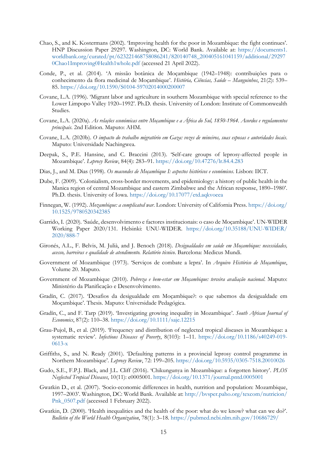- Chao, S., and K. Kostermans (2002). 'Improving health for the poor in Mozambique: the fight continues'. HNP Discussion Paper 29297. Washington, DC: World Bank. Available at: [https://documents1.](https://documents1.worldbank.org/curated/pt/623221468758086241/820140748_200405161041159/additional/292970Chao1Improving0Health1whole.pdf) [worldbank.org/curated/pt/623221468758086241/820140748\\_200405161041159/additional/29297](https://documents1.worldbank.org/curated/pt/623221468758086241/820140748_200405161041159/additional/292970Chao1Improving0Health1whole.pdf) [0Chao1Improving0Health1whole.pdf](https://documents1.worldbank.org/curated/pt/623221468758086241/820140748_200405161041159/additional/292970Chao1Improving0Health1whole.pdf) (accessed 21 April 2022).
- Conde, P., et al. (2014). 'A missão botânica de Moçambique (1942–1948): contribuições para o conhecimento da flora medicinal de Moçambique'. *História, Ciências, Saúde – Manguinhos*, 21(2): 539– 85.<https://doi.org/10.1590/S0104-59702014000200007>
- Covane, L.A. (1996). 'Migrant labor and agriculture in southern Mozambique with special reference to the Lower Limpopo Valley 1920–1992'. Ph.D. thesis. University of London: Institute of Commonwealth Studies.
- Covane, L.A. (2020a). *As relações económicas entre Moçambique e a África do Sul, 1850-1964. Acordos e regulamentos principais*. 2nd Edition. Maputo: AHM.
- Covane, L.A. (2020b). *O impacto do trabalho migratório em Gaza: vozes de mineiros, suas esposas e autoridades locais*. Maputo: Universidade Nachingwea.
- Deepak, S., P.E. Hansine, and C. Braccini (2013). 'Self-care groups of leprosy-affected people in Mozambique'. *Leprosy Review*, 84(4): 283–91. <https://doi.org/10.47276/lr.84.4.283>
- Dias, J., and M. Dias (1998). *Os macondes de Moçambique I: aspectos históricos e económicos*. Lisbon: IICT.
- Dube, F. (2009). 'Colonialism, cross-border movements, and epidemiology: a history of public health in the Manica region of central Mozambique and eastern Zimbabwe and the African response, 1890–1980'. Ph.D. thesis. University of Iowa. <https://doi.org/10.17077/etd.aqkvoeea>
- Finnegan, W. (1992). *Mozambique: a complicated war*. London: University of California Press. [https://doi.org/](https://doi.org/10.1525/9780520342385) [10.1525/9780520342385](https://doi.org/10.1525/9780520342385)
- Garrido, I. (2020). 'Saúde, desenvolvimento e factores institucionais: o caso de Moçambique'. UN-WIDER Working Paper 2020/131. Helsinki: UNU-WIDER. [https://doi.org/10.35188/UNU-WIDER/](https://doi.org/10.35188/UNU-WIDER/2020/888-7) [2020/888-7](https://doi.org/10.35188/UNU-WIDER/2020/888-7)
- Gironés, A.L., F. Belvis, M. Julià, and J. Benoch (2018). *Desigualdades em saúde em Moçambique: necessidades, acesso, barreiras e qualidade de atendimento. Relatório técnico*. Barcelona: Medicus Mundi.
- Government of Mozambique (1973). 'Serviços de combate a lepra'. In *Arquivo Histórico de Moçambique*, Volume 20. Maputo.
- Government of Mozambique (2010). *Pobreza e bem-estar em Moçambique: terceira avaliação nacional*. Maputo: Ministério da Planificação e Desenvolvimento.
- Gradín, C. (2017). 'Desafios da desigualdade em Moçambique?: o que sabemos da desigualdade em Moçambique'. Thesis. Maputo: Universidade Pedagógica.
- Gradín, C., and F. Tarp (2019). 'Investigating growing inequality in Mozambique'. *South African Journal of Economics*, 87(2): 110–38. <https://doi.org/10.1111/saje.12215>
- Grau-Pujol, B., et al. (2019). 'Frequency and distribution of neglected tropical diseases in Mozambique: a systematic review'. *Infectious Diseases of Poverty*, 8(103): 1–11. [https://doi.org/10.1186/s40249-019-](https://doi.org/10.1186/s40249-019-0613-x) [0613-x](https://doi.org/10.1186/s40249-019-0613-x)
- Griffiths, S., and N. Ready (2001). 'Defaulting patterns in a provincial leprosy control programme in Northern Mozambique'. *Leprosy Review*, 72: 199–205. <https://doi.org/10.5935/0305-7518.20010026>
- Gudo, S.E., F.P.J. Black, and J.L. Cliff (2016). 'Chikungunya in Mozambique: a forgotten history'. *PLOS Neglected Tropical Diseases*, 10(11): e0005001. <https://doi.org/10.1371/journal.pntd.0005001>
- Gwatkin D., et al. (2007). 'Socio-economic differences in health, nutrition and population: Mozambique, 1997–2003'. Washington, DC: World Bank. Available at: [http://bvsper.paho.org/texcom/nutricion/](http://bvsper.paho.org/texcom/nutricion/Pnk_0507.pdf) [Pnk\\_0507.pdf](http://bvsper.paho.org/texcom/nutricion/Pnk_0507.pdf) (accessed 1 February 2022).
- Gwatkin, D. (2000). 'Health inequalities and the health of the poor: what do we know? what can we do?'. *Bulletin of the World Health Organization*, 78(1): 3–18.<https://pubmed.ncbi.nlm.nih.gov/10686729/>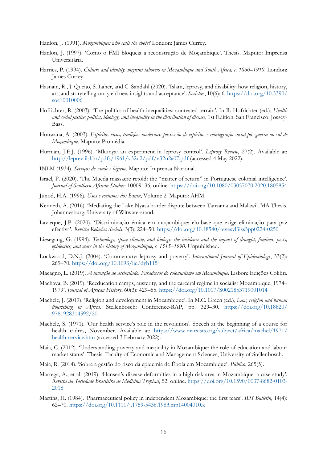Hanlon, J. (1991). *Mozambique: who calls the shots?* London: James Currey.

- Hanlon, J. (1997). 'Como o FMI bloqueia a reconstrução de Moçambique'. Thesis. Maputo: Imprensa Universitária.
- Harries, P. (1994). *Culture and identity. migrant laborers in Mozambique and South Africa, c. 1860–1910*. London: James Currey.
- Hasnain, R., J. Queijo, S. Laher, and C. Sandahl (2020). 'Islam, leprosy, and disability: how religion, history, art, and storytelling can yield new insights and acceptance'. *Societies*, 10(6): 6. [https://doi.org/10.3390/](https://doi.org/10.3390/soc10010006) [soc10010006](https://doi.org/10.3390/soc10010006)
- Hofrichter, R. (2003). 'The politics of health inequalities: contested terrain'. In R. Hofrichter (ed.), *Health and social justice: politics, ideology, and inequality in the distribution of disease*, 1st Edition. San Francisco: Jossey-Bass.
- Honwana, A. (2003). *Espíritos vivos, tradições modernas: possessão de espíritos e reintegração social pós-guerra no sul de Moçambique*. Maputo: Promédia.
- Hurman, J.E.J. (1996). 'Mkunya: an experiment in leprosy control'. *Leprosy Review*, 27(2). Available at: <http://leprev.ilsl.br/pdfs/1961/v32n2/pdf/v32n2a07.pdf> (accessed 4 May 2022).
- INLM (1934). *Serviços de saúde e higiene*. Maputo: Imprensa Nacional.
- Israel, P. (2020). 'The Mueda massacre retold: the "matter of return" in Portuguese colonial intelligence'. *Journal of Southern African Studies*: 10009–36, online.<https://doi.org/10.1080/03057070.2020.1805854>
- Junod, H.A. (1996). *Usos e costumes dos Bantu*, Volume 2. Maputo: AHM.
- Kenneth, A. (2016). 'Mediating the Lake Nyasa border dispute between Tanzania and Malawi'. MA Thesis. Johannesburg: University of Witwatersrand.
- Lavieque, J.P. (2020). 'Discriminação étnica em moçambique: elo-base que exige eliminação para paz efectiva'. *Revista Relações Sociais*, 3(3): 224–50. <https://doi.org/10.18540/revesvl3iss3pp0224-0250>
- Liesegang, G. (1994). *Technology, space climate, and biology: the incidence and the impact of drought, famines, pests, epidemics, and wars in the history of Mozambique, c. 1515–1990*. Unpublished.
- Lockwood, D.N.J. (2004). 'Commentary: leprosy and poverty'. *International Journal of Epidemiology*, 33(2): 269–70. <https://doi.org/10.1093/ije/dyh115>
- Macagno, L. (2019). *A invenção do assimilado. Paradoxos do colonialismo em Moçambique*. Lisbon: Edições Colibri.
- Machava, B. (2019). 'Reeducation camps, austerity, and the carceral regime in socialist Mozambique, 1974– 1979'. *Journal of African History*, 60(3): 429–55. <https://doi.org/10.1017/S0021853719001014>
- Machele, J. (2019). 'Religion and development in Mozambique'. In M.C. Green (ed.), *Law, religion and human flourishing in Africa*. Stellenbosch: Conference-RAP, pp. 329–30. [https://doi.org/10.18820/](https://doi.org/10.18820/9781928314592/20) [9781928314592/20](https://doi.org/10.18820/9781928314592/20)
- Machele, S. (1971). 'Our health service's role in the revolution'. Speech at the beginning of a course for health cadres, November. Available at: [https://www.marxists.org/subject/africa/machel/1971/](https://www.marxists.org/subject/africa/machel/1971/health-service.htm) [health-service.htm](https://www.marxists.org/subject/africa/machel/1971/health-service.htm) (accessed 3 February 2022).
- Maia, C. (2012). 'Understanding poverty and inequality in Mozambique: the role of education and labour market status'. Thesis. Faculty of Economic and Management Sciences, University of Stellenbosch.
- Maia, R. (2014). 'Sobre a gestão do risco da epidemia de Ébola em Moçambique'. *Público*, 265(5).
- Marrega, A., et al. (2019). 'Hansen's disease deformities in a high risk area in Mozambique: a case study'. *Revista da Sociedade Brasileira de Medicina Tropical*, 52: online. [https://doi.org/10.1590/0037-8682-0103-](https://doi.org/10.1590/0037-8682-0103-2018) [2018](https://doi.org/10.1590/0037-8682-0103-2018)
- Martins, H. (1984). 'Pharmaceutical policy in independent Mozambique: the first tears'. *IDS Bulletin*, 14(4): 62–70. <https://doi.org/10.1111/j.1759-5436.1983.mp14004010.x>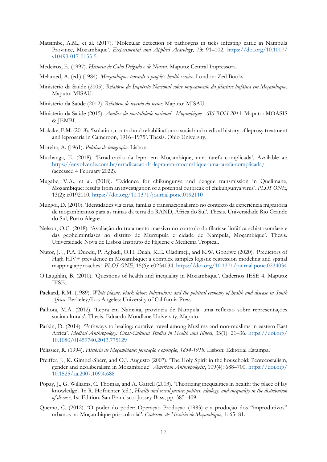- Matsimbe, A.M., et al. (2017). 'Molecular detection of pathogens in ticks infesting cattle in Nampula Province, Mozambique'. *Experimental and Applied Acarology*, 73: 91–102. [https://doi.org/10.1007/](https://doi.org/10.1007/s10493-017-0155-5) [s10493-017-0155-5](https://doi.org/10.1007/s10493-017-0155-5)
- Medeiros, E. (1997). *Historia de Cabo Delgado e de Niassa*. Maputo: Central Impressora.
- Melamed, A. (ed.) (1984). *Mozambique: towards a people's health service*. London: Zed Books.
- Ministério da Saúde (2005). *Relatório do Inquérito Nacional sobre mapeamento da filaríase linfática em Moçambique*. Maputo: MISAU.
- Ministério da Saúde (2012). *Relatório de revisão do sector*. Maputo: MISAU.
- Ministério da Saúde (2015). *Análise da mortalidade nacional - Moçambique - SIS-ROH 2013*. Maputo: MOASIS & JEMBI.
- Mokake, F.M. (2018). 'Isolation, control and rehabilitation: a social and medical history of leprosy treatment and leprosaria in Cameroon, 1916–1975'. Thesis. Ohio University.
- Moreira, A. (1961). *Política de integração*. Lisbon.
- Muchanga, E. (2018). 'Erradicação da lepra em Moçambique, uma tarefa complicada'. Available at: <https://envolverde.com.br/erradicacao-da-lepra-em-mocambique-uma-tarefa-complicada/> (accessed 4 February 2022).
- Mugabe, V.A., et al. (2018). 'Evidence for chikungunya and dengue transmission in Quelimane, Mozambique: results from an investigation of a potential outbreak of chikungunya virus'. *PLOS ONE*, 13(2): e0192110. <https://doi.org/10.1371/journal.pone.0192110>
- Mungoi, D. (2010). 'Identidades viajeiras, família e transnacionalismo no contexto da experiência migratória de moçambicanos para as minas da terra do RAND, África do Sul'. Thesis. Universidade Rio Grande do Sul, Porto Alegre.
- Nelson, O.C. (2018). 'Avaliação do tratamento massivo no controlo da filaríase linfática schistosomíase e das geohelmintíases no distrito de Murrupula e cidade de Nampula, Moçambique'. Thesis. Universidade Nova de Lisboa Instituto de Higiene e Medicina Tropical.
- Nutor, J.J., P.A. Duodu, P. Agbadi, O.H. Duah, K.E. Oladimeji, and K.W. Gondwe (2020). 'Predictors of High HIV+ prevalence in Mozambique: a complex samples logistic regression modeling and spatial mapping approaches'. *PLOS ONE*, 15(6): e0234034.<https://doi.org/10.1371/journal.pone.0234034>
- O'Laughlin, B. (2010). 'Questions of health and inequality in Mozambique'. Cadernos IESE 4. Maputo: IESE.
- Packard, R.M. (1989). *White plague, black labor: tuberculosis and the political economy of health and disease in South Africa*. Berkeley/Los Angeles: University of California Press.
- Palhota, M.A. (2012). 'Lepra em Namaíta, província de Nampula: uma reflexão sobre representações socioculturais'. Thesis. Eduardo Mondlane University, Maputo.
- Parkin, D. (2014). 'Pathways to healing: curative travel among Muslims and non-muslims in eastern East Africa'. *Medical Anthropology: Cross-Cultural Studies in Health and Illness*, 33(1): 21–36. [https://doi.org/](https://doi.org/10.1080/01459740.2013.775129) [10.1080/01459740.2013.775129](https://doi.org/10.1080/01459740.2013.775129)
- Pélissier, R. (1994). *História de Moçambique: formação e oposição, 1854-1918*. Lisbon: Editorial Estampa.
- Pfeiffer, J., K. Gimbel-Sherr, and O.J. Augusto (2007). 'The Holy Spirit in the household: Pentecostalism, gender and neoliberalism in Mozambique'. *American Anthropologist*, 109(4): 688–700. [https://doi.org/](https://doi.org/10.1525/aa.2007.109.4.688) [10.1525/aa.2007.109.4.688](https://doi.org/10.1525/aa.2007.109.4.688)
- Popay, J., G. Williams, C. Thomas, and A. Gatrell (2003). 'Theorizing inequalities in health: the place of lay knowledge'. In R. Hofrichter (ed.), *Health and social justice: politics, ideology, and inequality in the distribution of disease*, 1st Edition. San Francisco: Jossey-Bass, pp. 385–409.
- Quemo, C. (2012). 'O poder do poder: Operação Produção (1983) e a produção dos "improdutivos" urbanos no Moçambique pós-colonial'. *Cadernos de História de Moçambique*, 1: 65–81.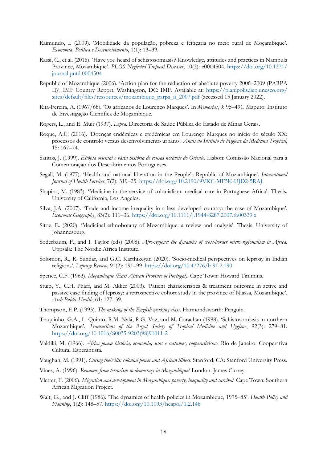- Raimundo, I. (2009). 'Mobilidade da população, pobreza e feitiçaria no meio rural de Moçambique'. *Economia, Política e Desenvolvimento*, 1(1): 13–39.
- Rassi, C., et al. (2016). 'Have you heard of schistosomiasis? Knowledge, attitudes and practices in Nampula Province, Mozambique'. *PLOS Neglected Tropical Diseases*, 10(3): e0004504. [https://doi.org/10.1371/](https://doi.org/10.1371/journal.pntd.0004504) [journal.pntd.0004504](https://doi.org/10.1371/journal.pntd.0004504)
- Republic of Mozambique (2006). 'Action plan for the reduction of absolute poverty 2006–2009 (PARPA II)'. IMF Country Report. Washington, DC: IMF. Available at: [https://planipolis.iiep.unesco.org/](https://planipolis.iiep.unesco.org/sites/default/files/ressources/mozambique_parpa_ii_2007.pdf) [sites/default/files/ressources/mozambique\\_parpa\\_ii\\_2007.pdf](https://planipolis.iiep.unesco.org/sites/default/files/ressources/mozambique_parpa_ii_2007.pdf) (accessed 15 January 2022).
- Rita-Fereira, A. (1967/68). 'Os africanos de Lourenço Marques'. In *Memorias*, 9: 95–491. Maputo: Instituto de Investigação Científica de Moçambique.
- Rogers, L., and E. Muir (1937). *Lepra*. Directoria de Saúde Pública do Estado de Minas Gerais.
- Roque, A.C. (2016). 'Doenças endémicas e epidémicas em Lourenço Marques no início do século XX: processos de controlo versus desenvolvimento urbano'. *Anais do Instiuto de Higiene da Medicina Tropical*, 15: 167–74.
- Santos, J. (1999). *Etiópia oriental e vária história de cousas notáveis do Oriente*. Lisbon: Comissão Nacional para a Comemoração dos Descobrimentos Portugueses.
- Segall, M. (1977). 'Health and national liberation in the People's Republic of Mozambique'. *International Journal of Health Services*, 7(2): 319–25. <https://doi.org/10.2190/9VKC-MF5K-UJD2-5RAJ>
- Shapiro, M. (1983). 'Medicine in the service of colonialism: medical care in Portuguese Africa'. Thesis. University of California, Los Angeles.
- Silva, J.A. (2007). 'Trade and income inequality in a less developed country: the case of Mozambique'. *Economic Geography*, 83(2): 111–36.<https://doi.org/10.1111/j.1944-8287.2007.tb00339.x>
- Sitoe, E. (2020). 'Medicinal ethnobotany of Mozambique: a review and analysis'. Thesis. University of Johannesburg.
- Soderbaum, F., and I. Taylor (eds) (2008). *Afro-regions: the dynamics of cross-border micro regionalism in Africa*. Uppsala: The Nordic Africa Institute.
- Solomon, R., R. Sundar, and G.C. Karthikeyan (2020). 'Socio-medical perspectives on leprosy in Indian religions'. *Leprosy Review*, 91(2): 191–99. <https://doi.org/10.47276/lr.91.2.190>
- Spence, C.F. (1963). *Moçambique (East African Province of Portugal)*. Cape Town: Howard Timmins.
- Stuip, Y., C.H. Phaff, and M. Akker (2003). 'Patient characteristics & treatment outcome in active and passive case finding of leprosy: a retrospective cohort study in the province of Niassa, Mozambique'. *Arch Public Health*, 61: 127–39.
- Thompson, E.P. (1993). *The making of the English working class*. Harmondsworth: Penguin.
- Traquinho, G.A., L. Quintó, R.M. Nalá, R.G. Vaz, and M. Corachan (1998). 'Schistosomiasis in northern Mozambique'. *Transactions of the Royal Society of Tropical Medicine and Hygiene*, 92(3): 279–81. [https://doi.org/10.1016/S0035-9203\(98\)91011-2](https://doi.org/10.1016/S0035-9203(98)91011-2)
- Valdiki, M. (1966). *África jovem história, economia, usos e costumes, cooperativismo*. Rio de Janeiro: Cooperativa Cultural Esperantista.
- Vaughan, M. (1991). *Curing their ills: colonial power and African illness*. Stanford, CA: Stanford University Press.
- Vines, A. (1996). *Renamo: from terrorism to democracy in Mozambique?* London: James Currey.
- Vletter, F. (2006). *Migration and development in Mozambique: poverty, inequality and survival*. Cape Town: Southern African Migration Project.
- Walt, G., and J. Cliff (1986). 'The dynamics of health policies in Mozambique, 1975–85'. *Health Policy and Planning*, 1(2): 148–57. <https://doi.org/10.1093/heapol/1.2.148>